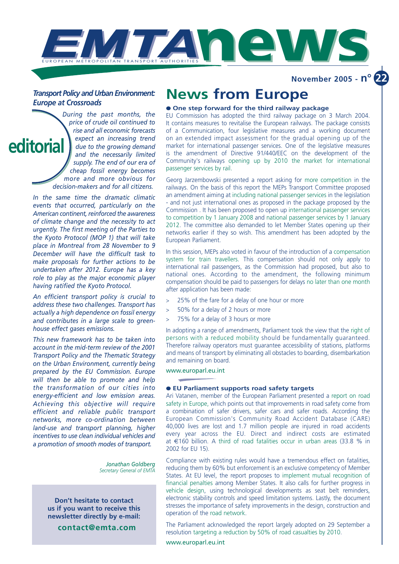

**November 2005 - n<sup>o</sup>** 

# *Transport Policy and Urban Environment: Europe at Crossroads*

*During the past months, the price of crude oil continued to rise and all economic forecasts expect an increasing trend due to the growing demand and the necessarily limited supply. The end of our era of cheap fossil energy becomes more and more obvious for decision-makers and for all citizens.* **editorial**

> *In the same time the dramatic climatic events that occurred, particularly on the American continent, reinforced the awareness of climate change and the necessity to act urgently. The first meeting of the Parties to the Kyoto Protocol (MOP 1) that will take place in Montreal from 28 November to 9 December will have the difficult task to make proposals for further actions to be undertaken after 2012. Europe has a key role to play as the major economic player having ratified the Kyoto Protocol.*

> *An efficient transport policy is crucial to address these two challenges. Transport has actually a high dependence on fossil energy and contributes in a large scale to greenhouse effect gases emissions.*

> *This new framework has to be taken into account in the mid-term review of the 2001 Transport Policy and the Thematic Strategy on the Urban Environment, currently being prepared by the EU Commission. Europe will then be able to promote and help the transformation of our cities into energy-efficient and low emission areas. Achieving this objective will require efficient and reliable public transport networks, more co-ordination between land-use and transport planning, higher incentives to use clean individual vehicles and a promotion of smooth modes of transport.*

> > *Jonathan Goldberg Secretary General of EMTA*

**Don't hesitate to contact us if you want to receive this newsletter directly by e-mail:**

**contact@emta.com**

# **News from Europe**

# ● **One step forward for the third railway package**

EU Commission has adopted the third railway package on 3 March 2004. It contains measures to revitalise the European railways. The package consists of a Communication, four legislative measures and a working document on an extended impact assessment for the gradual opening up of the market for international passenger services. One of the legislative measures is the amendment of Directive 91/440/EEC on the development of the Community's railways opening up by 2010 the market for international passenger services by rail.

Georg Jarzembowski presented a report asking for more competition in the railways. On the basis of this report the MEPs Transport Committee proposed an amendment aiming at including national passenger services in the legislation - and not just international ones as proposed in the package proposed by the Commission . It has been proposed to open up international passenger services to competition by 1 January 2008 and national passenger services by 1 January 2012. The committee also demanded to let Member States opening up their networks earlier if they so wish. This amendment has been adopted by the European Parliament.

In this session, MEPs also voted in favour of the introduction of a compensation system for train travellers. This compensation should not only apply to international rail passengers, as the Commission had proposed, but also to national ones. According to the amendment, the following minimum compensation should be paid to passengers for delays no later than one month after application has been made:

- > 25% of the fare for a delay of one hour or more
- > 50% for a delay of 2 hours or more
- 75% for a delay of 3 hours or more

In adopting a range of amendments, Parliament took the view that the right of persons with a reduced mobility should be fundamentally guaranteed. Therefore railway operators must guarantee accessibility of stations, platforms and means of transport by eliminating all obstacles to boarding, disembarkation and remaining on board.

# www.europarl.eu.int

# ● **EU Parliament supports road safety targets**

Ari Vatanen, member of the European Parliament presented a report on road safety in Europe, which points out that improvements in road safety come from a combination of safer drivers, safer cars and safer roads. According the European Commission's Community Road Accident Database (CARE) 40,000 lives are lost and 1.7 million people are injured in road accidents every year across the EU. Direct and indirect costs are estimated at €160 billion. A third of road fatalities occur in urban areas (33.8 % in 2002 for EU 15).

Compliance with existing rules would have a tremendous effect on fatalities, reducing them by 60% but enforcement is an exclusive competency of Member States. At EU level, the report proposes to implement mutual recognition of financial penalties among Member States. It also calls for further progress in vehicle design, using technological developments as seat belt reminders, electronic stability controls and speed limitation systems. Lastly, the document stresses the importance of safety improvements in the design, construction and operation of the road network.

The Parliament acknowledged the report largely adopted on 29 September a resolution targeting a reduction by 50% of road casualties by 2010.

www.europarl.eu.int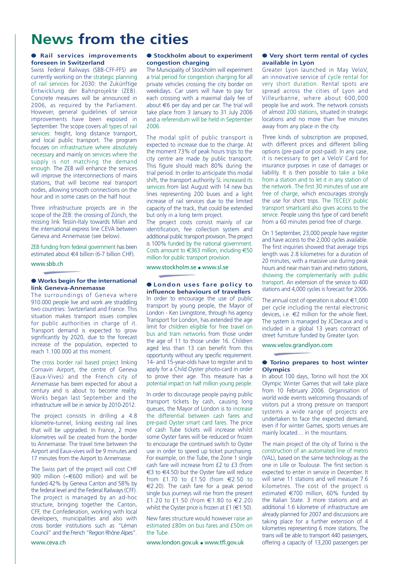# **News from the cities**

# ● **Rail services improvements foreseen in Switzerland**

Swiss Federal Railways (SBB-CFF-FFS) are currently working on the strategic planning of rail services for 2030: the Zukünftige Entwicklung der Bahnprojekte (ZEB). Concrete measures will be announced in 2006, as required by the Parliament. However, general guidelines of service improvements have been exposed in September. The scope covers all types of rail services: freight, long distance transport, and local public transport. The program focuses on infrastructure where absolutely necessary and mainly on services where the supply is not matching the demand enough. The ZEB will enhance the services will improve the interconnections of mains stations, that will become real transport nodes, allowing smooth connections on the hour and in some cases on the half hour.

Three infrastructure projects are in the scope of the ZEB: the crossing of Zürich, the missing link Tessin-Italy towards Milan and the international express line CEVA between Geneva and Annemasse (see below).

ZEB funding from federal government has been estimated about €4 billion (6-7 billion CHF).

www.sbb.ch

## ● **Works begin for the international link Geneva-Annemasse**

The surroundings of Geneva where 910.000 people live and work are straddling two countries: Switzerland and France. This situation makes transport issues complex for public authorities in charge of it. Transport demand is expected to grow significantly by 2020, due to the forecast increase of the population, expected to reach 1.100.000 at this moment.

The cross border rail based project linking Cornavin Airport, the centre of Geneva (Eaux-Vives) and the French city of Annemasse has been expected for about a century and is about to become reality. Works began last September and the infrastructure will be in service by 2010-2012.

The project consists in drilling a 4.8 kilometre-tunnel, linking existing rail lines that will be upgraded. In France, 2 more kilometres will be created from the border to Annemasse. The travel time between the Airport and Eaux-vives will be 9 minutes and 17 minutes from the Airport to Annemasse.

The Swiss part of the project will cost CHF 900 million (~€600 million) and will be funded 42% by Geneva Canton and 58% by the federal level and the Federal Railways (CFF). The project is managed by an ad-hoc structure, bringing together the Canton, CFF, the Confederation, working with local developers, municipalities and also with cross border institutions such as "Léman Council" and the French "Region Rhône Alpes".

● **Stockholm about to experiment congestion charging**

The Municipality of Stockholm will experiment a trial period for congestion charging for all private vehicles crossing the city border on weekdays. Car users will have to pay for each crossing with a maximal daily fee of about €6 per day and per car. The trial will take place from 3 January to 31 July 2006 and a referendum will be held in September 2006.

The modal split of public transport is expected to increase due to the charge. At the moment 73% of peak hours trips to the city centre are made by public transport. This figure should reach 80% during the trial period. In order to anticipate this modal shift, the transport authority SL increased its services from last August with 14 new bus lines representing 200 buses and a light increase of rail services due to the limited capacity of the track, that could be extended but only in a long term project.

The project costs consist mainly of car identification, fee collection system and additional public transport provision. The project is 100% funded by the national government. Costs amount to €363 million, including €50 million for public transport provision.

www.stockholm.se ● www.sl.se

#### ● **London uses fare policy to influence behaviours of travellers**

In order to encourage the use of public transport by young people, the Mayor of London - Ken Livingstone, through his agency Transport for London, has extended the age limit for children eligible for free travel on bus and tram networks from those under the age of 11 to those under 16. Children aged less than 13 can benefit from this opportunity without any specific requirement. 14- and 15-year-olds have to register and to apply for a Child Oyster photo-card in order to prove their age. This measure has a potential impact on half million young people.

In order to discourage people paying public transport tickets by cash, causing long queues, the Mayor of London is to increase the differential between cash fares and pre-paid Oyster smart card fares. The price of cash Tube tickets will increase whilst some Oyster fares will be reduced or frozen to encourage the continued switch to Oyster use in order to speed up ticket purchasing. For example, on the Tube, the Zone 1 single cash fare will increase from £2 to £3 (from €3 to €4.50) but the Oyster fare will reduce from £1.70 to £1.50 (from €2.50 to €2.20). The cash fare for a peak period single bus journeys will rise from the present £1.20 to £1.50 (from €1.80 to €2.20) whilst the Oyster price is frozen at £1 ( $\in$ 1.50).

New fares structure would however raise an estimated £80m on bus fares and £50m on the Tube.

www.london.gov.uk ● www.tfl.gov.uk

## ● **Very short term rental of cycles available in Lyon**

Greater Lyon launched in May VeloV, an innovative service of cycle rental for very short duration. Rental spots are spread across the cities of Lyon and Villeurbanne, where about 600,000 people live and work. The network consists of almost 200 stations, situated in strategic locations and no more than five minutes away from any place in the city.

Three kinds of subscription are proposed. with different prices and different billing options (pre-paid or post-paid). In any case, it is necessary to get a VeloV Card for insurance purposes in case of damages or liability. It is then possible to take a bike from a station and to let it in any station of the network. The first 30 minutes of use are free of charge, which encourages strongly the use for short trips. The TECELY public transport smartcard also gives access to the service. People using this type of card benefit from a 60 minutes period free of charge.

On 1 September, 23,000 people have register and have access to the 2,000 cycles available. The first inquiries showed that average trips length was 2.8 kilometres for a duration of 20 minutes, with a massive use during peak hours and near main train and metro stations, showing the complementarily with public transport. An extension of the service to 400 stations and 4,000 cycles is forecast for 2006.

The annual cost of operation is about  $\in$ 1,000 per cycle including the rental electronic devices, i.e. €2 million for the whole fleet. The system is managed by JCDecaux and is included in a global 13 years contract of street furniture funded by Greater Lyon.

www.velov.grandlyon.com

## ● **Torino prepares to host winter Olympics**

In about 100 days, Torino will host the XX Olympic Winter Games that will take place from 10 February 2006. Organisation of world wide events welcoming thousands of visitors put a strong pressure on transport systems a wide range of projects are undertaken to face the expected demand, even if for winter Games, sports venues are mainly located… in the mountains.

The main project of the city of Torino is the construction of an automated line of metro (VAL), based on the same technology as the one in Lille or Toulouse. The first section is expected to enter in service in December. It will serve 11 stations and will measure 7.6 kilometres. The cost of the project is estimated €700 million, 60% funded by the Italian State. 3 more stations and an additional 1.6 kilometre of infrastructure are already planned for 2007 and discussions are taking place for a further extension of 4 kilometres representing 6 more stations. The trains will be able to transport 440 passengers, offering a capacity of 13,200 passengers per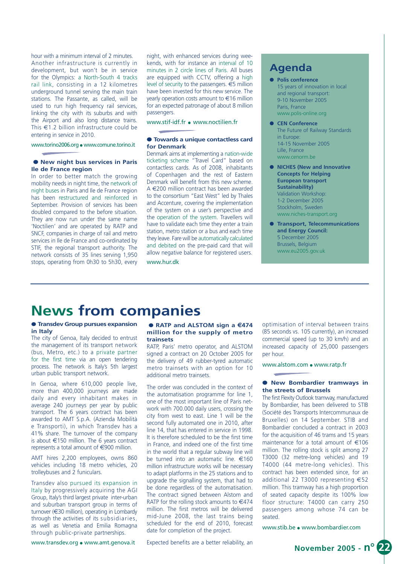hour with a minimum interval of 2 minutes. Another infrastructure is currently in development, but won't be in service for the Olympics: a North-South 4 tracks rail link, consisting in a 12 kilometres underground tunnel serving the main train stations. The Passante, as called, will be used to run high frequency rail services, linking the city with its suburbs and with the Airport and also long distance trains. This €1.2 billion infrastructure could be entering in service in 2010.

www.torino2006.org ● www.comune.torino.it

## ● **New night bus services in Paris Ile de France region**

In order to better match the growing mobility needs in night time, the network of night buses in Paris and Ile de France region has been restructured and reinforced in September. Provision of services has been doubled compared to the before situation. They are now run under the same name 'Noctilien' and are operated by RATP and SNCF, companies in charge of rail and metro services in Ile de France and co-ordinated by STIF, the regional transport authority. The network consists of 35 lines serving 1,950 stops, operating from 0h30 to 5h30, every

night, with enhanced services during weekends, with for instance an interval of 10 minutes in 2 circle lines of Paris. All buses are equipped with CCTV, offering a high level of security to the passengers. €5 million have been invested for this new service. The yearly operation costs amount to €16 million for an expected patronage of about 8 million passengers.

www.stif-idf.fr ● www.noctilien.fr

## ● **Towards a unique contactless card for Denmark**

Denmark aims at implementing a nation-wide ticketing scheme "Travel Card" based on contactless cards. As of 2008, inhabitants of Copenhagen and the rest of Eastern Denmark will benefit from this new scheme. A €200 million contract has been awarded to the consortium "East West" led by Thales and Accenture, covering the implementation of the system on a user's perspective and the operation of the system. Travellers will have to validate each time they enter a train station, metro station or a bus and each time they leave. Fare will be automatically calculated and debited on the pre-paid card that will allow negative balance for registered users. www.hur.dk

# **Agenda**

- **Polis conference**  15 years of innovation in local and regional transport: 9-10 November 2005 Paris, France www.polis-online.org
- **CEN Conference**  The Future of Railway Standards in Europe: 14-15 November 2005 Lille, France www.cenorm.be
- **NICHES (New and Innovative Concepts for Helping European transport Sustainability)**  Validation Workshop: 1-2 December 2005 Stockholm, Sweden www.niches-transport.org
- **Transport, Telecommunications and Energy Council:**  5 December 2005 Brussels, Belgium www.eu2005.gov.uk

# **News from companies**

# ● **Transdev Group pursues expansion in Italy**

The city of Genoa, Italy decided to entrust the management of its transport network (bus, Metro, etc.) to a private partner for the first time via an open tendering process. The network is Italy's 5th largest urban public transport network.

In Genoa, where 610,000 people live, more than 400,000 journeys are made daily and every inhabitant makes in average 240 journeys per year by public transport. The 6 years contract has been awarded to AMT S.p.A. (Azienda Mobilità e Transporti), in which Transdev has a 41% share. The turnover of the company is about €150 million. The 6 years contract represents a total amount of €900 million.

AMT hires 2,200 employees, owns 860 vehicles including 18 metro vehicles, 20 trolleybuses and 2 funiculars.

Transdev also pursued its expansion in Italy by progressively acquiring the AGI Group, Italy's third largest private inter-urban and suburban transport group in terms of turnover (€30 million), operating in Lombardy through the activities of its subsidiaries, as well as Venetia and Emilia Romagna through public-private partnerships.

www.transdev.org ● www.amt.genova.it

### ● **RATP** and **ALSTOM** sign a €474 **million for the supply of metro trainsets**

RATP, Paris' metro operator, and ALSTOM signed a contract on 20 October 2005 for the delivery of 49 rubber-tyred automatic metro trainsets with an option for 10 additional metro trainsets.

The order was concluded in the context of the automatisation programme for line 1, one of the most important line of Paris network with 700.000 daily users, crossing the city from west to east. Line 1 will be the second fully automated one in 2010, after line 14, that has entered in service in 1998. It is therefore scheduled to be the first time in France, and indeed one of the first time in the world that a regular subway line will be turned into an automatic line. €160 million infrastructure works will be necessary to adapt platforms in the 25 stations and to upgrade the signalling system, that had to be done regardless of the automatisation. The contract signed between Alstom and RATP for the rolling stock amounts to  $€474$ million. The first metros will be delivered mid-June 2008, the last trains being scheduled for the end of 2010, forecast date for completion of the project.

Expected benefits are a better reliability, an

optimisation of interval between trains (85 seconds vs. 105 currently), an increased commercial speed (up to 30 km/h) and an increased capacity of 25,000 passengers per hour.

www.alstom.com ● www.ratp.fr

## ● **New Bombardier tramways in the streets of Brussels**

The first Flexity Outlook tramway, manufactured by Bombardier, has been delivered to STIB (Société des Transports Intercommunaux de Bruxelles) on 14 September. STIB and Bombardier concluded a contract in 2003 for the acquisition of 46 trams and 15 years maintenance for a total amount of €106 million. The rolling stock is split among 27 T3000 (32 metre-long vehicles) and 19 T4000 (44 metre-long vehicles). This contract has been extended since, for an additional 22 T3000 representing €52 million. This tramway has a high proportion of seated capacity despite its 100% low floor structure: T4000 can carry 250 passengers among whose 74 can be seated.

www.stib.be ● www.bombardier.com